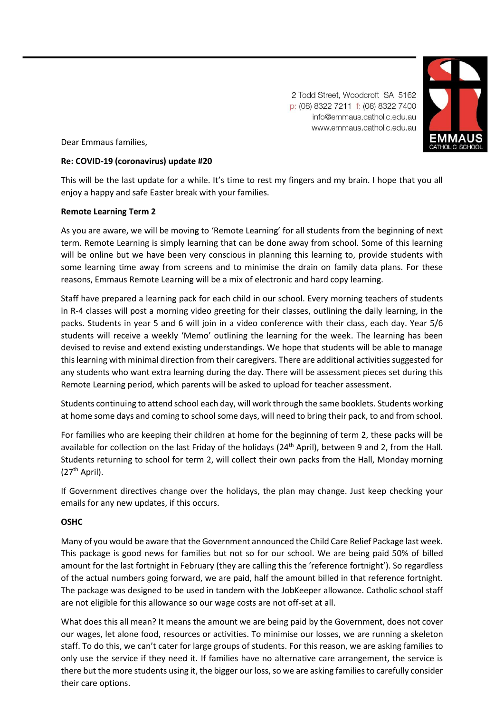2 Todd Street, Woodcroft SA 5162 p: (08) 8322 7211 f: (08) 8322 7400 info@emmaus.catholic.edu.au www.emmaus.catholic.edu.au



Dear Emmaus families,

## **Re: COVID-19 (coronavirus) update #20**

This will be the last update for a while. It's time to rest my fingers and my brain. I hope that you all enjoy a happy and safe Easter break with your families.

## **Remote Learning Term 2**

As you are aware, we will be moving to 'Remote Learning' for all students from the beginning of next term. Remote Learning is simply learning that can be done away from school. Some of this learning will be online but we have been very conscious in planning this learning to, provide students with some learning time away from screens and to minimise the drain on family data plans. For these reasons, Emmaus Remote Learning will be a mix of electronic and hard copy learning.

Staff have prepared a learning pack for each child in our school. Every morning teachers of students in R-4 classes will post a morning video greeting for their classes, outlining the daily learning, in the packs. Students in year 5 and 6 will join in a video conference with their class, each day. Year 5/6 students will receive a weekly 'Memo' outlining the learning for the week. The learning has been devised to revise and extend existing understandings. We hope that students will be able to manage this learning with minimal direction from their caregivers. There are additional activities suggested for any students who want extra learning during the day. There will be assessment pieces set during this Remote Learning period, which parents will be asked to upload for teacher assessment.

Students continuing to attend school each day, will work through the same booklets. Students working at home some days and coming to school some days, will need to bring their pack, to and from school.

For families who are keeping their children at home for the beginning of term 2, these packs will be available for collection on the last Friday of the holidays (24<sup>th</sup> April), between 9 and 2, from the Hall. Students returning to school for term 2, will collect their own packs from the Hall, Monday morning  $(27<sup>th</sup>$  April).

If Government directives change over the holidays, the plan may change. Just keep checking your emails for any new updates, if this occurs.

## **OSHC**

Many of you would be aware that the Government announced the Child Care Relief Package last week. This package is good news for families but not so for our school. We are being paid 50% of billed amount for the last fortnight in February (they are calling this the 'reference fortnight'). So regardless of the actual numbers going forward, we are paid, half the amount billed in that reference fortnight. The package was designed to be used in tandem with the JobKeeper allowance. Catholic school staff are not eligible for this allowance so our wage costs are not off-set at all.

What does this all mean? It means the amount we are being paid by the Government, does not cover our wages, let alone food, resources or activities. To minimise our losses, we are running a skeleton staff. To do this, we can't cater for large groups of students. For this reason, we are asking families to only use the service if they need it. If families have no alternative care arrangement, the service is there but the more students using it, the bigger our loss, so we are asking families to carefully consider their care options.